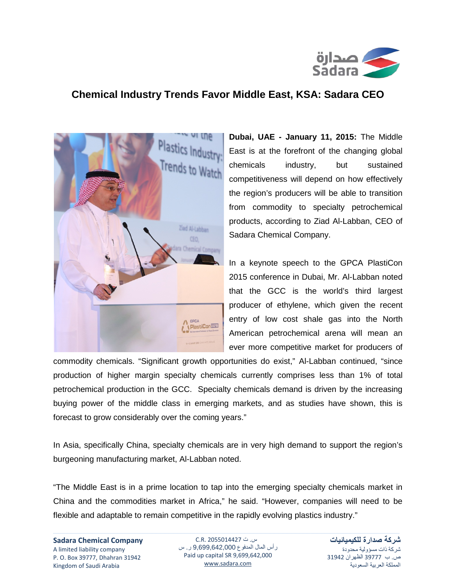

## **Chemical Industry Trends Favor Middle East, KSA: Sadara CEO**



**Dubai, UAE - January 11, 2015:** The Middle East is at the forefront of the changing global chemicals industry, but sustained competitiveness will depend on how effectively the region's producers will be able to transition from commodity to specialty petrochemical products, according to Ziad Al-Labban, CEO of Sadara Chemical Company.

In a keynote speech to the GPCA PlastiCon 2015 conference in Dubai, Mr. Al-Labban noted that the GCC is the world's third largest producer of ethylene, which given the recent entry of low cost shale gas into the North American petrochemical arena will mean an ever more competitive market for producers of

commodity chemicals. "Significant growth opportunities do exist," Al-Labban continued, "since production of higher margin specialty chemicals currently comprises less than 1% of total petrochemical production in the GCC. Specialty chemicals demand is driven by the increasing buying power of the middle class in emerging markets, and as studies have shown, this is forecast to grow considerably over the coming years."

In Asia, specifically China, specialty chemicals are in very high demand to support the region's burgeoning manufacturing market, Al-Labban noted.

"The Middle East is in a prime location to tap into the emerging specialty chemicals market in China and the commodities market in Africa," he said. "However, companies will need to be flexible and adaptable to remain competitive in the rapidly evolving plastics industry."

س. ت 2055014427 .R.C رأس المال المدفوع 9,699,642,000 ر. س Paid up capital SR 9,699,642,000 [www.sadara.com](http://www.sadara.com/)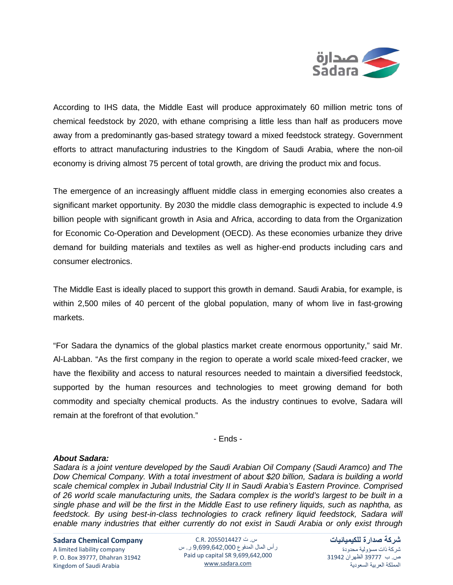

According to IHS data, the Middle East will produce approximately 60 million metric tons of chemical feedstock by 2020, with ethane comprising a little less than half as producers move away from a predominantly gas-based strategy toward a mixed feedstock strategy. Government efforts to attract manufacturing industries to the Kingdom of Saudi Arabia, where the non-oil economy is driving almost 75 percent of total growth, are driving the product mix and focus.

The emergence of an increasingly affluent middle class in emerging economies also creates a significant market opportunity. By 2030 the middle class demographic is expected to include 4.9 billion people with significant growth in Asia and Africa, according to data from the Organization for Economic Co-Operation and Development (OECD). As these economies urbanize they drive demand for building materials and textiles as well as higher-end products including cars and consumer electronics.

The Middle East is ideally placed to support this growth in demand. Saudi Arabia, for example, is within 2,500 miles of 40 percent of the global population, many of whom live in fast-growing markets.

"For Sadara the dynamics of the global plastics market create enormous opportunity," said Mr. Al-Labban. "As the first company in the region to operate a world scale mixed-feed cracker, we have the flexibility and access to natural resources needed to maintain a diversified feedstock, supported by the human resources and technologies to meet growing demand for both commodity and specialty chemical products. As the industry continues to evolve, Sadara will remain at the forefront of that evolution."

- Ends -

## *About Sadara:*

*Sadara is a joint venture developed by the Saudi Arabian Oil Company (Saudi Aramco) and The Dow Chemical Company. With a total investment of about \$20 billion, Sadara is building a world scale chemical complex in Jubail Industrial City II in Saudi Arabia's Eastern Province. Comprised of 26 world scale manufacturing units, the Sadara complex is the world's largest to be built in a single phase and will be the first in the Middle East to use refinery liquids, such as naphtha, as feedstock. By using best-in-class technologies to crack refinery liquid feedstock, Sadara will enable many industries that either currently do not exist in Saudi Arabia or only exist through* 

**Sadara Chemical Company** A limited liability company

P. O. Box 39777, Dhahran 31942 Kingdom of Saudi Arabia

س. ت 2055014427 .R.C رأس المال المدفوع 9,699,642,000 ر. س Paid up capital SR 9,699,642,000 [www.sadara.com](http://www.sadara.com/)

**شركة صدارة للكيميائيات** شركة ذات مسؤولية محدودة ص. ب 39777 الظهران 31942 المملكة العربية السعودية